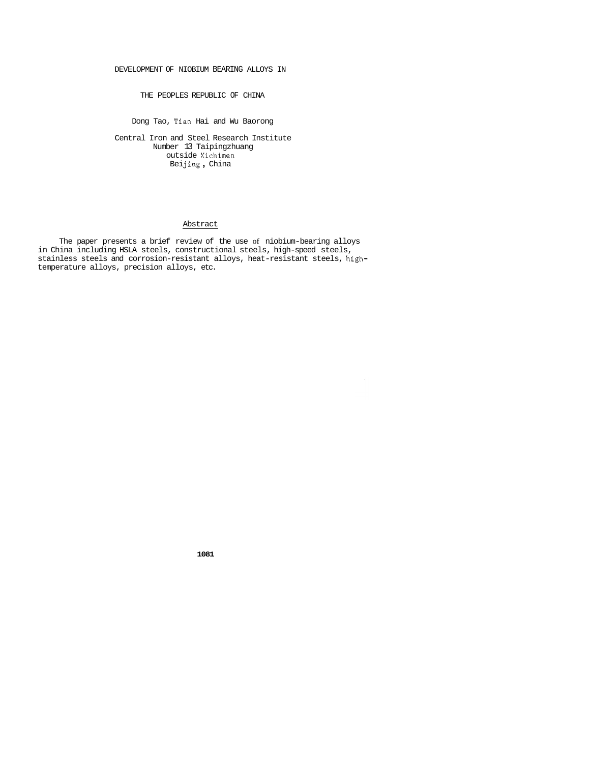### DEVELOPMENT OF NIOBIUM BEARING ALLOYS IN

THE PEOPLES REPUBLIC OF CHINA

Dong Tao, Tian Hai and Wu Baorong

Central Iron and Steel Research Institute Number 13 Taipingzhuang outside Xichimen Bei **j** ing , China

#### Abstract

The paper presents a brief review of the use of niobium-bearing alloys in China including HSLA steels, constructional steels, high-speed steels, stainless steels and corrosion-resistant alloys, heat-resistant steels, hightemperature alloys, precision alloys, etc.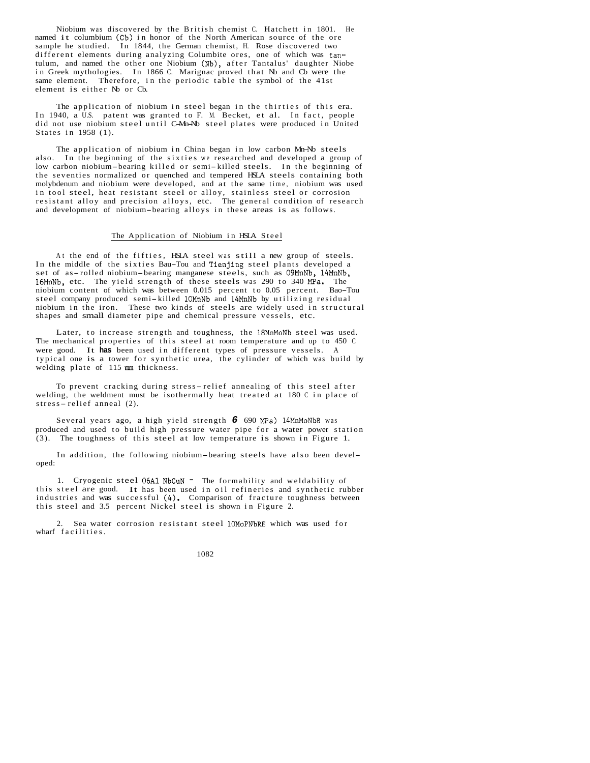Niobium was discovered by the British chemist C. Hatchett in 1801. He named it columbium (Cb) in honor of the North American source of the ore sample he studied. In 1844, the German chemist, H. Rose discovered two different elements during analyzing Columbite ores, one of which was tantulum, and named the other one Niobium (Nb), after Tantalus' daughter Niobe in Greek mythologies. In 1866 C. Marignac proved that Nb and Cb were the same element. Therefore, in the periodic table the symbol of the 41st element is either N<sub>b</sub> or C<sub>b</sub>.

The application of niobium in steel began in the thirties of this era. In 1940, a U.S. patent was granted to F. M. Becket, et al. In fact, people did not use niobium steel until C-Mn-Nb steel plates were produced in United States in 1958 (1).

The application of niobium in China began in low carbon Mn-Nb steels also. In the beginning of the sixties we researched and developed a group of low carbon niobium-bearing killed or semi-killed steels. In the beginning of the seventies normalized or quenched and tempered HSLA steels containing both molybdenum and niobium were developed, and at the same time, niobium was used in tool steel, heat resistant steel or alloy, stainless steel or corrosion resistant alloy and precision alloys, etc. The general condition of research and development of niobium-bearing alloys in these areas is as follows.

#### The Application of Niobium in HSLA Steel

At the end of the fifties, HSLA steel was still a new group of steels. In the middle of the sixties Bau-Tou and Tienjing steel plants developed a set of as-rolled niobium-bearing manganese steels, such as 09MnNb, 14MnNb, 16MnNb, etc. The yield strength of these steels was 290 to 340 MPa. The niobium content of which was between 0.015 percent to 0.05 percent. Bao-Tou steel company produced semi-killed lOMnNb and l4MnNb by utilizing residual niobium in the iron. These two kinds of steels are widely used in structural shapes and small diameter pipe and chemical pressure vessels, etc.

Later, to increase strength and toughness, the l8MnMoNb steel was used. The mechanical properties of this steel at room temperature and up to 450 C were good. It **has** been used in different types of pressure vessels. A typical one is a tower for synthetic urea, the cylinder of which was build by welding plate of 115 **mm** thickness.

To prevent cracking during stress-relief annealing of this steel after welding, the weldment must be isothermally heat treated at 180 C in place of stress-relief anneal (2).

Several years ago, a high yield strength *6* 690 MPa) 14MnMoNbB was produced and used to build high pressure water pipe for a water power station (3). The toughness of this steel at low temperature is shown in Figure 1.

In addition, the following niobium-bearing steels have also been developed:

1. Cryogenic steel 06A1 NbCuN - The formability and weldability of this steel are good. It has been used in oil refineries and synthetic rubber industries and was successful (4). Comparison of fracture toughness between this steel and 3.5 percent Nickel steel is shown in Figure 2.

2. Sea water corrosion resistant steel 1OMoPNbRE which was used for wharf facilities.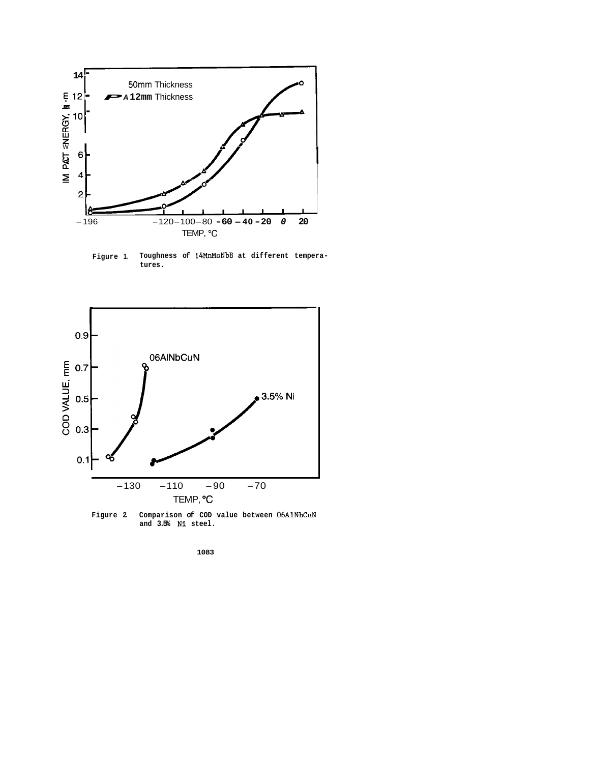

**Figure 1. Toughness of 14MnMoNbB at different temperatures.** 



**Figure 2. Comparison of COD value between 06AlNbCuN and 3.5% Ni steel.**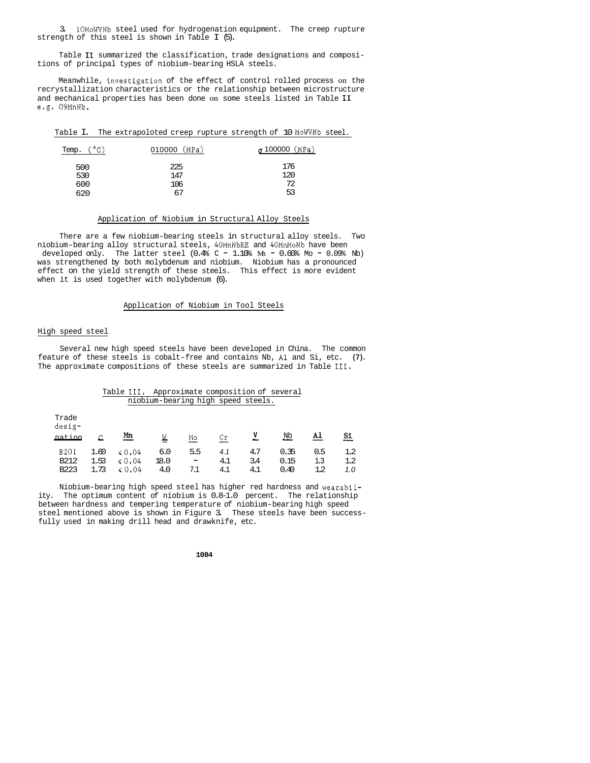3. lOMoWVNb steel used for hydrogenation equipment. The creep rupture strength of this steel is shown in Table I (5).

Table **I1** summarized the classification, trade designations and compositions of principal types of niobium-bearing HSLA steels.

Meanwhile, tnvestigation of the effect of control rolled process on the recrystallization characteristics or the relationship between microstructure and mechanical properties has been done on some steels listed in Table **I1**  e.g. 09MnNb.

|  | Table I. The extrapoloted creep rupture strength of 10 MoWVNb steel. |  |  |  |
|--|----------------------------------------------------------------------|--|--|--|
|  |                                                                      |  |  |  |

| Temp. (°C) | $010000$ (MPa) | $\sigma$ 100000 (MPa) |
|------------|----------------|-----------------------|
| 500<br>530 | 225<br>147     | 176<br>120            |
| 600        | 106            | 72                    |
| 620        | 67             | 53                    |

## Application of Niobium in Structural Alloy Steels

There are a few niobium-bearing steels in structural alloy steels. Two robium-bearing arroy structural steels, 40mmwoko and 40mmmowo nave been<br>developed only. The latter steel (0.4% C - 1.10% Mn - 0.60% Mo - 0.09% Nb) niobium-bearing alloy structural steels, 40MnNbRE and 40MnMoNb have been was strengthened by both molybdenum and niobium. Niobium has a pronounced effect on the yield strength of these steels. This effect is more evident when it is used together with molybdenum (6).

### Application of Niobium in Tool Steels

#### High speed steel

Several new high speed steels have been developed in China. The common feature of these steels is cobalt-free and contains Nb, A1 and Si, etc. **(7).**  The approximate compositions of these steels are summarized in Table **111.** 

|                                         |                      | Table III,                          |                                    |                                        |                   |                   | Approximate composition of several |                       |                           |
|-----------------------------------------|----------------------|-------------------------------------|------------------------------------|----------------------------------------|-------------------|-------------------|------------------------------------|-----------------------|---------------------------|
|                                         |                      |                                     | niobium-bearing high speed steels. |                                        |                   |                   |                                    |                       |                           |
| Trade<br>desig-<br>nation               |                      | <u>Mn</u>                           | Μ                                  | Mo                                     | Сr                | v                 | Nb                                 | Al                    | Si                        |
| 8201<br>B <sub>212</sub><br><b>B223</b> | 1.60<br>1.53<br>1.73 | $\leq 0.04$<br>$\le 0.04$<br>& 0.04 | 6.0<br>18.0<br>4.0                 | 5.5<br>$\overline{\phantom{0}}$<br>7.1 | 4.1<br>4.1<br>4.1 | 4.7<br>3.4<br>4.1 | 0.35<br>0.15<br>0.40               | 0.5<br>1.3<br>$1.2\,$ | $1.2\,$<br>$1.2\,$<br>1.0 |

Niobium-bearing high speed steel has higher red hardness and wearability. The optimum content of niobium is 0.8-1.0 percent. The relationship between hardness and tempering temperature of niobium-bearing high speed steel mentioned above is shown in Figure 3. These steels have been successfully used in making drill head and drawknife, etc.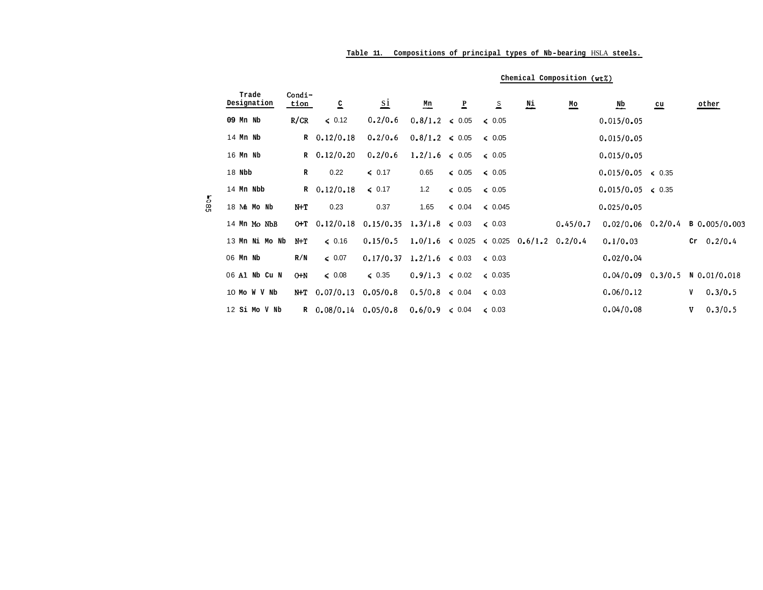|               |                      |                |                  | Table 11.                                 |                           |              |                         |                                                           |                            | Compositions of principal types of Nb-bearing HSLA steels. |              |                                       |
|---------------|----------------------|----------------|------------------|-------------------------------------------|---------------------------|--------------|-------------------------|-----------------------------------------------------------|----------------------------|------------------------------------------------------------|--------------|---------------------------------------|
|               |                      |                |                  |                                           |                           |              |                         |                                                           | Chemical Composition (wt%) |                                                            |              |                                       |
|               | Trade<br>Designation | Condi-<br>tion | 으                | $\overline{1}$                            | $\underline{\mathbf{Mn}}$ | $\mathbf{P}$ | $\overline{\mathbf{S}}$ | $\underline{\texttt{Ni}}$                                 | $\underline{\mathsf{Mo}}$  | $\overline{\mathbf{N}}$                                    | $\mathbf{u}$ | other                                 |
|               | 09 Mn Nb             | R/CR           | $\leq 0.12$      | 0.2/0.6                                   | $0.8/1.2 \le 0.05$        |              | $\leq 0.05$             |                                                           |                            | 0.015/0.05                                                 |              |                                       |
|               | 14 Mn Nb             |                | $R$ 0.12/0.18    | 0.2/0.6                                   | $0.8/1.2 \le 0.05$        |              | $\leq 0.05$             |                                                           |                            | 0.015/0.05                                                 |              |                                       |
|               | 16 Mn Nb             |                | R $0.12/0.20$    | 0.2/0.6                                   | $1.2/1.6 \le 0.05$        |              | $\leq 0.05$             |                                                           |                            | 0.015/0.05                                                 |              |                                       |
|               | 18 Nbb               | $\mathbb{R}$   | 0.22             | $\leq 0.17$                               | 0.65                      | $\leq 0.05$  | $\leq 0.05$             |                                                           |                            | $0.015/0.05 \le 0.35$                                      |              |                                       |
|               | 14 Mn Nbb            |                | R $0.12/0.18$    | 60.17                                     | 1.2                       | $\leq 0.05$  | $\leq 0.05$             |                                                           |                            | $0.015/0.05 \le 0.35$                                      |              |                                       |
| $\frac{1}{2}$ | 18 Mh Mo Nb          | N+T            | 0.23             | 0.37                                      | 1.65                      | $\leq 0.04$  | $\leq 0.045$            |                                                           |                            | 0.025/0.05                                                 |              |                                       |
|               | 14 Mn Mo NbB         | $0+T$          | 0.12/0.18        | $0.15/0.35$ 1.3/1.8 $\leq 0.03$           |                           |              | $\leq 0.03$             |                                                           | 0.45/0.7                   |                                                            |              | $0.02/0.06$ $0.2/0.4$ B $0.005/0.003$ |
|               | 13 Mn Ni Mo Nb       | $N+T$          | $\leqslant$ 0.16 | 0.15/0.5                                  |                           |              |                         | $1.0/1.6 \le 0.025 \le 0.025 \quad 0.6/1.2 \quad 0.2/0.4$ |                            | 0.1/0.03                                                   |              | $Cr \t 0.2/0.4$                       |
|               | 06 Mn Nb             | R/N            | $\leq 0.07$      | $0.17/0.37 \quad 1.2/1.6 \quad \leq 0.03$ |                           |              | $\leq 0.03$             |                                                           |                            | 0.02/0.04                                                  |              |                                       |
|               | 06 Al Nb Cu N        | $0+N$          | $\leq 0.08$      | $\leq 0.35$                               | $0.9/1.3 \le 0.02$        |              | $\leq 0.035$            |                                                           |                            |                                                            |              | $0.04/0.09$ $0.3/0.5$ N $0.01/0.018$  |
|               | 10 Mo W V Nb         | N+T            | 0.07/0.13        | 0.05/0.8                                  | $0.5/0.8 \le 0.04$        |              | $\leq 0.03$             |                                                           |                            | 0.06/0.12                                                  |              | 0.3/0.5<br>v                          |
|               | 12 Si Mo V Nb        |                | $R = 0.08/0.14$  | 0.05/0.8                                  | $0.6/0.9 \le 0.04$        |              | $\leq 0.03$             |                                                           |                            | 0.04/0.08                                                  |              | 0.3/0.5<br>V                          |

# **Table 11. Compositions of principal types of Nb-bearing** HSLA **steels.**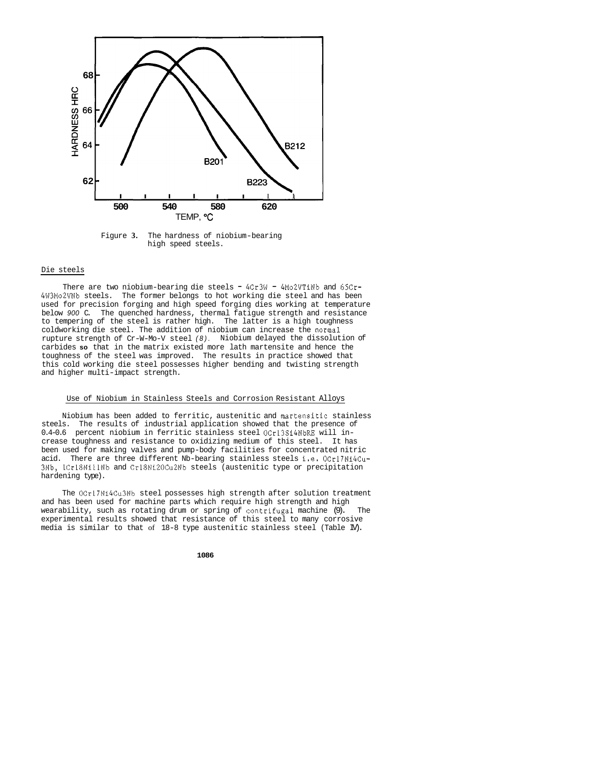

Figure **3.** The hardness of niobium-bearing high speed steels.

#### Die steels

There are two niobium-bearing die steels - 4Cr3W - 4Mo2VTiNb and 65Cr-4W3Mo2VNb steels. The former belongs to hot working die steel and has been used for precision forging and high speed forging dies working at temperature below *900* C. The quenched hardness, thermal fatigue strength and resistance to tempering of the steel is rather high. The latter is a high toughness coldworking die steel. The addition of niobium can increase the normal rupture strength of Cr-W-Mo-V steel *(8).*  Niobium delayed the dissolution of carbides **so** that in the matrix existed more lath martensite and hence the toughness of the steel was improved. The results in practice showed that this cold working die steel possesses higher bending and twisting strength and higher multi-impact strength.

#### Use of Niobium in Stainless Steels and Corrosion Resistant Alloys

Niobium has been added to ferritic, austenitic and martensitic stainless steels. The results of industrial application showed that the presence of 0.4-0.6 percent niobium in ferritic stainless steel OCrl3Si4NbRE will increase toughness and resistance to oxidizing medium of this steel. It has been used for making valves and pump-body facilities for concentrated nitric acid. There are three different Nb-bearing stainless steels i.e. OCrl7Ni4Cu-3Nb, lCrl8NillNb and Cr18Ni20CuZNb steels (austenitic type or precipitation hardening type).

The OCr17Ni4Cu3Nb steel possesses high strength after solution treatment and has been used for machine parts which require high strength and high wearability, such as rotating drum or spring of contrifugal machine (9). The experimental results showed that resistance of this steel to many corrosive media is similar to that of 18-8 type austenitic stainless steel (Table IV).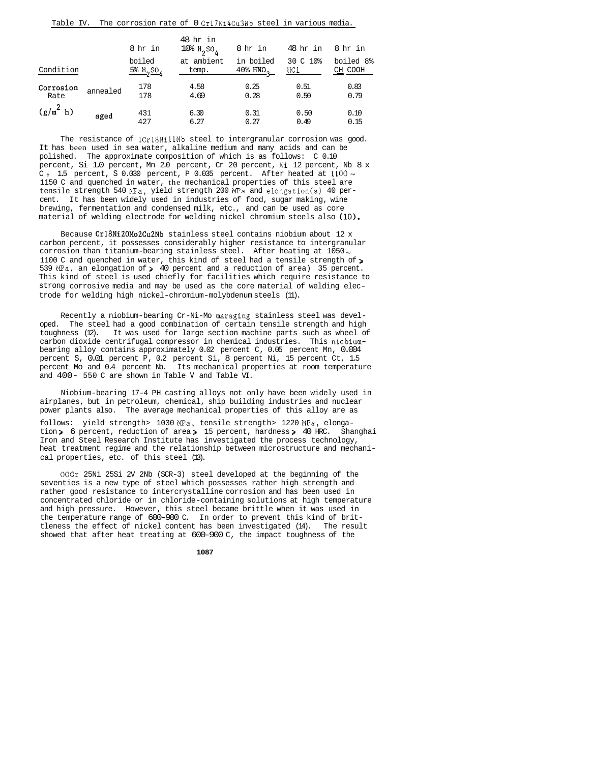| Table IV.         |          |                                    | The corrosion rate of U Gri/Ni4Gu3No steel in Various media. |                                               |                 |                      |
|-------------------|----------|------------------------------------|--------------------------------------------------------------|-----------------------------------------------|-----------------|----------------------|
|                   |          | 8 hr in                            | 48 hr in<br>$10\%$ $H_2$ $SO_4$                              | 8 hr in                                       | 48 hr in        | 8 hr in              |
| Condition         |          | boiled<br>$5\%$ H <sub>2</sub> SO, | at ambient<br>temp.                                          | in boiled<br>$40\frac{8}{3}$ HNO <sub>2</sub> | 30 C 10%<br>HC1 | boiled 8%<br>CH COOH |
| Corrosion<br>Rate | annealed | 178<br>178                         | 4.58<br>4.69                                                 | 0.25<br>0.28                                  | 0.51<br>0.50    | 0.83<br>0.79         |
| $(g/m^2 h)$       | aged     | 431<br>427                         | 6.30<br>6.27                                                 | 0.31<br>0.27                                  | 0.50<br>0.49    | 0.10<br>0.15         |

Table IV. The corrosion rate of 0 Cr17Ni4Cu3Nb steel in various media.

The resistance of  $Cr18N111Nb$  steel to intergranular corrosion was good. It has been used in sea water, alkaline medium and many acids and can be polished. The approximate composition of which is as follows: C 0.10 percent, Si 1.0 percent, Mn 2.0 percent, Cr 20 percent, Ni 12 percent, Nb 8 x C<sub>i</sub> 1.5 percent, S 0.030 percent, P 0.035 percent. After heated at  $1100 \sim$ 1150 C and quenched in water, the mechanical properties of this steel are tensile strength 540 MPa, yield strength 200  $\overline{MPa}$  and elongation(s) 40 percent. It has been widely used in industries of food, sugar making, wine brewing, fermentation and condensed milk, etc., and can be used as core material of welding electrode for welding nickel chromium steels also  $(10)$ .

Because Cr18Ni20Mo2Cu2Nb stainless steel contains niobium about 12 x carbon percent, it possesses considerably higher resistance to intergranular corrosion than titanium-bearing stainless steel. After heating at  $1050 \sim$ 1100 C and quenched in water, this kind of steel had a tensile strength of > 539 MPa, an elongation of > 40 percent and a reduction of area) 35 percent. This kind of steel is used chiefly for facilities which require resistance to strong corrosive media and may be used as the core material of welding electrode for welding high nickel-chromium-molybdenum steels (11).

Recently a niobium-bearing Cr-Ni-Mo maraging stainless steel was developed. The steel had a good combination of certain tensile strength and high toughness (12). It was used for large section machine parts such as wheel of carbon dioxide centrifugal compressor in chemical industries. This niobiumbearing alloy contains approximately 0.02 percent C, 0.05 percent Mn, 0.004 percent S, 0.01 percent P, 0.2 percent Si, 8 percent Ni, 15 percent Ct, 1.5 percent Mo and 0.4 percent Nb. Its mechanical properties at room temperature and 400- 550 C are shown in Table V and Table VI.

Niobium-bearing 17-4 PH casting alloys not only have been widely used in airplanes, but in petroleum, chemical, ship building industries and nuclear power plants also. The average mechanical properties of this alloy are as

follows: yield strength> 1030 MPa, tensile strength> 1220 MPa, elongation > 6 percent, reduction of area > 15 percent, hardness > 40 HRC. Shanghai Iron and Steel Research Institute has investigated the process technology, heat treatment regime and the relationship between microstructure and mechanical properties, etc. of this steel (13).

OOCr 25Ni 25Si 2V 2Nb (SCR-3) steel developed at the beginning of the seventies is a new type of steel which possesses rather high strength and rather good resistance to intercrystalline corrosion and has been used in concentrated chloride or in chloride-containing solutions at high temperature and high pressure. However, this steel became brittle when it was used in the temperature range of 600-900 C. In order to prevent this kind of brittleness the effect of nickel content has been investigated (14). The result showed that after heat treating at 600-900 C, the impact toughness of the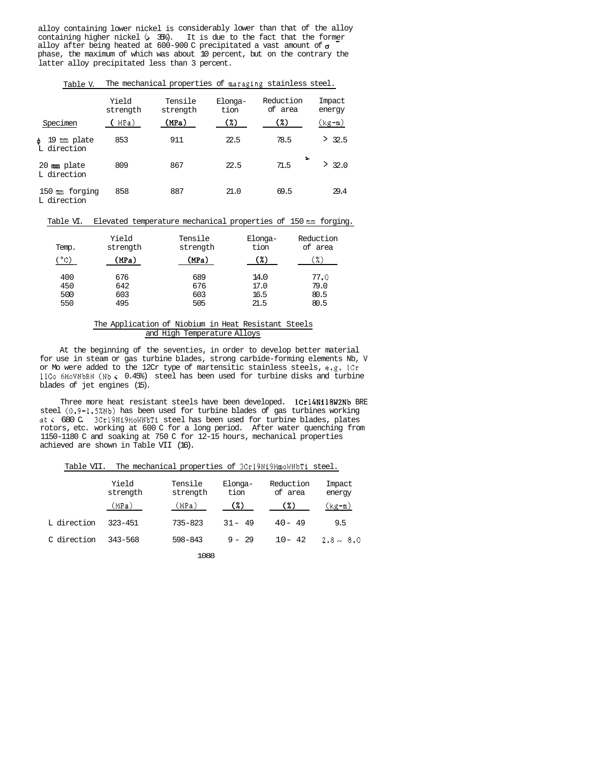alloy containing lower nickel is considerably lower than that of the alloy containing higher nickel (, 35%). It is due to the fact that the form<u>er</u><br>alloy after being heated at 600-900 C precipitated a vast amount of **g** alloy after being heated at 600-900 C precipitated a vast amount of  $\sigma$ phase, the maximum of which was about 10 percent, but on the contrary the latter alloy precipitated less than 3 percent.

| Specimen                             | Yield<br>strength<br>MPa) | Tensile<br>strength<br>(MPa) | Elonga-<br>tion<br>(7) | Reduction<br>of area<br>$(\%)$ | Impact<br>energy<br>(kg-m) |
|--------------------------------------|---------------------------|------------------------------|------------------------|--------------------------------|----------------------------|
| 19<br>mm plate<br>d.<br>direction    | 853                       | 911                          | 22.5                   | 78.5                           | 32.5<br>⋗                  |
| $20 \text{ mm}$ plate<br>L direction | 809                       | 867                          | 22.5                   | $\ddot{}$<br>71.5              | 32.0<br>>∶                 |
| $150$ m forging<br>L direction       | 858                       | 887                          | 21.0                   | 69.5                           | 29.4                       |

Table V. The mechanical properties of maraging stainless steel.

Table VI. Elevated temperature mechanical properties of 150 mm forging.

| Temp.<br>(°c) | Yield<br>strength<br>(MPa) | Tensile<br>strength<br>(MPa) | Elonga-<br>tion<br>(%) | Reduction<br>of area<br>(%) |
|---------------|----------------------------|------------------------------|------------------------|-----------------------------|
| 400           | 676                        | 689                          | 14.0                   | 77.0                        |
| 450           | 642                        | 676                          | 17.0                   | 79.0                        |
| 500           | 603                        | 603                          | 16.5                   | 80.5                        |
| 550           | 495                        | 505                          | 21.5                   | 80.5                        |

## The Application of Niobium in Heat Resistant Steels and High Temperature Alloys

At the beginning of the seventies, in order to develop better material for use in steam or gas turbine blades, strong carbide-forming elements Nb, V or Mo were added to the 12Cr type of martensitic stainless steels, e.g. 1Cr llCo 6MoVNbBN (Nb< 0.45%) steel has been used for turbine disks and turbine blades of jet engines (15).

Three more heat resistant steels have been developed. lCrl4Ni18W2Nb BRE steel (0.9-1.5%Nb) has been used for turbine blades of gas turbines working at< 680 C. 3Crl9Ni9MoWNbTi steel has been used for turbine blades, plates rotors, etc. working at 600 C for a long period. After water quenching from 1150-1180 C and soaking at 750 C for 12-15 hours, mechanical properties achieved are shown in Table VII (16).

| Table VII. |  | The mechanical properties of 3Cr19N19NmoWNbT1 steel. |  |
|------------|--|------------------------------------------------------|--|
|------------|--|------------------------------------------------------|--|

|             | Yield<br>strength | Tensile<br>strength | Elonga-<br>tion | Reduction<br>of area | Impact<br>energy |
|-------------|-------------------|---------------------|-----------------|----------------------|------------------|
|             | (MPa)             | (MPa)               | (%)             | (%)                  | (kg-m)           |
| L direction | $323 - 451$       | $735 - 823$         | $31 - 49$       | $40 - 49$            | 9.5              |
| C direction | $343 - 568$       | $598 - 843$         | $9 - 29$        | $10 - 42$            | $2.8 \sim 8.0$   |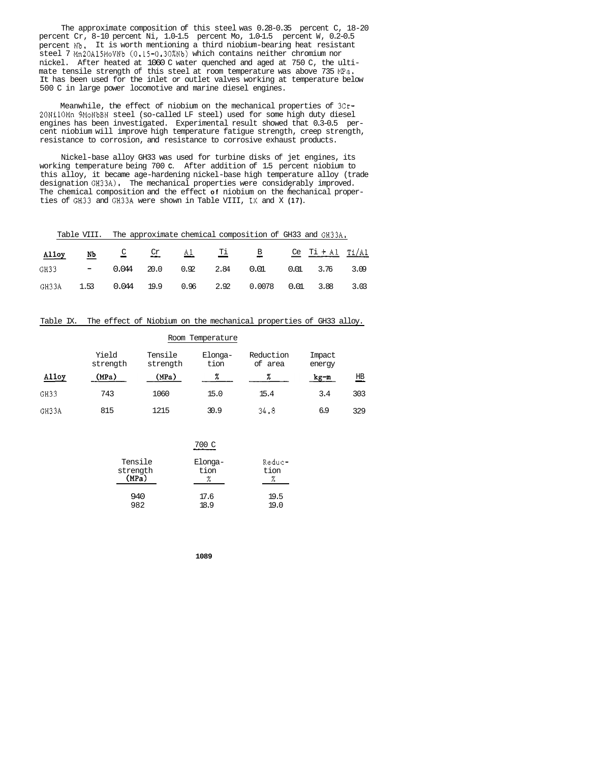The approximate composition of this steel was 0.28-0.35 percent C, 18-20 percent Cr, 8-10 percent Ni, 1.0-1.5 percent Mo, 1.0-1.5 percent W, 0.2-0.5 percent **Nb.**  It is worth mentioning a third niobium-bearing heat resistant steel 7 Mn20A15MoVNb (0.15-0.30%Nb) which contains neither chromium nor nickel. After heated at 1060 C water quenched and aged at 750 C, the ultimate tensile strength of this steel at room temperature was above 735  $\mathbb{R}^3$ . It has been used for the inlet or outlet valves working at temperature below 500 C in large power locomotive and marine diesel engines.

Meanwhile, the effect of niobium on the mechanical properties of 3Cr-20NilOMn 9MoNbBN steel (so-called LF steel) used for some high duty diesel engines has been investigated. Experimental result showed that 0.3-0.5 percent niobium will improve high temperature fatigue strength, creep strength, resistance to corrosion, and resistance to corrosive exhaust products.

Nickel-base alloy GH33 was used for turbine disks of jet engines, its working temperature being 700 **C.** After addition of 1.5 percent niobium to this alloy, it became age-hardening nickel-base high temperature alloy (trade designation GH33A). The mechanical properties were considerably improved.<br>The chemical composition and the effect **of** nichium on the mechanical proper The chemical composition and the effect **of** niobium on the mechanical properties of GH33 and GH33A were shown in Table VIII, **IX** and X **(17).** 

| Table VIII. The approximate chemical composition of GH33 and GH33A, |  |  |  |  |
|---------------------------------------------------------------------|--|--|--|--|
| Alloy Nb $C$ $Cr$ Al Ti B $Ce$ Ti $A1$ Ti Al                        |  |  |  |  |
| GH33 - 0.044 20.0 0.92 2.84 0.01 0.01 3.76 3.09                     |  |  |  |  |
| GH33A 1.53 0.044 19.9 0.96 2.92 0.0078 0.01 3.88 3.03               |  |  |  |  |

| Table IX. The effect of Niobium on the mechanical properties of GH33 alloy. |  |  |  |  |  |  |  |  |  |  |  |  |  |
|-----------------------------------------------------------------------------|--|--|--|--|--|--|--|--|--|--|--|--|--|
|-----------------------------------------------------------------------------|--|--|--|--|--|--|--|--|--|--|--|--|--|

|       |                              |                     | Room Temperature     |                      |                  |                           |
|-------|------------------------------|---------------------|----------------------|----------------------|------------------|---------------------------|
|       | Yield<br>strength            | Tensile<br>strength | Elonga-<br>tion      | Reduction<br>of area | Impact<br>energy |                           |
| Alloy | (MPa)                        | (MPa)               | %                    | %                    | kg-m             | $\underline{\texttt{HB}}$ |
| GH33  | 743                          | 1060                | 15.0                 | 15.4                 | 3.4              | 303                       |
| GH33A | 815                          | 1215                | 30.9                 | 34.8                 | 6.9              | 329                       |
|       |                              |                     |                      |                      |                  |                           |
|       |                              |                     | 700 C                |                      |                  |                           |
|       | Tensile<br>strength<br>(MPa) |                     | Elonga-<br>tion<br>X | Reduc-<br>tion<br>%  |                  |                           |
|       |                              | 940                 | 17.6                 | 19.5                 |                  |                           |

982 18.9 19.0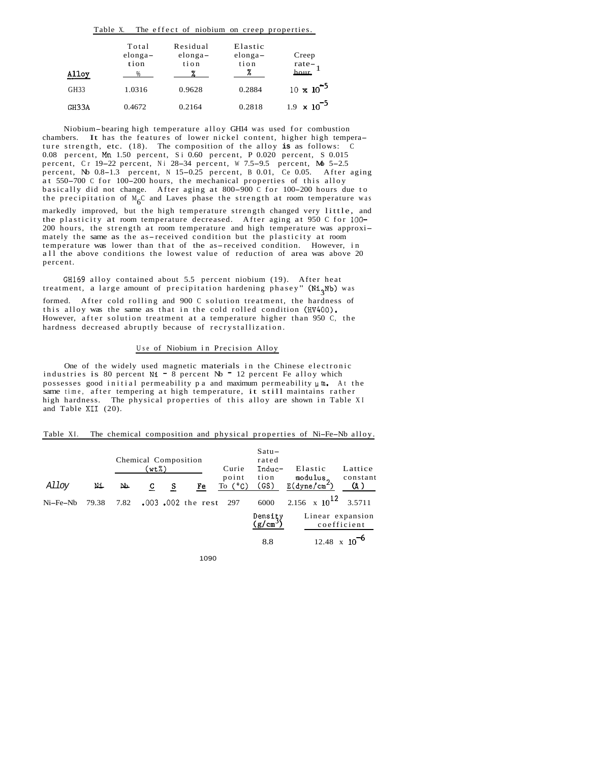|                  | Table X.                   | The effect of niobium on creep properties. |                                   |                               |
|------------------|----------------------------|--------------------------------------------|-----------------------------------|-------------------------------|
| Alloy            | Total<br>$elonga-$<br>tion | Residual<br>$elonga-$<br>tion              | Elastic<br>$elonga-$<br>tion<br>% | Creep<br>rate-<br>hour        |
| GH <sub>33</sub> | 1.0316                     | 0.9628                                     | 0.2884                            | $10 \times 10^{-5}$           |
| GH33A            | 0.4672                     | 0.2164                                     | 0.2818                            | 1.9 $\times$ 10 <sup>-5</sup> |

Niobium-bearing high temperature alloy GH14 was used for combustion chambers. It has the features of lower nickel content, higher high temperature strength, etc. (18). The composition of the alloy **is** as follows: C 0.08 percent, **Mn** 1.50 percent, Si 0.60 percent, P 0.020 percent, S 0.015 0.08 percent, Mn 1.50 percent, S = 0.60 percent, P 0.020 percent, S 0.015<br>percent, C r 19–22 percent, Ni 28–34 percent, W 7.5–9.5 percent, Mb 5–2.5 percent, Cr 19–22 percent, N1 28–34 percent, W 1.5–9.5 percent, No 3–2.5<br>percent, Nb 0.8–1.3 percent, N 15–0.25 percent, B 0.01, Ce 0.05. After aging percent, No 0.8-1.3 percent, N 15-0.25 percent, B 0.01, Ce 0.05. After aging at 550-700 C for 100-200 hours, the mechanical properties of this alloy basically did not change. After aging at 800-900 C for 100-200 hours due to the precipitation of  $M_6C$  and Laves phase the strength at room temperature was markedly improved, but the high temperature strength changed very little, and the plasticity at room temperature decreased. After aging at 950 C for 100- 200 hours, the strength at room temperature and high temperature was approximately the same as the as-received condition but the plasticity at room temperature was lower than that of the as-received condition. However, in all the above conditions the lowest value of reduction of area was above 20 percent.

GH169 alloy contained about 5.5 percent niobium (19). After heat treatment, a large amount of precipitation hardening phasey" (Ni<sub>2</sub>Nb) was formed. After cold rolling and 900 C solution treatment, the hardness of this alloy was the same as that in the cold rolled condition (HV400). However, after solution treatment at a temperature higher than 950 C, the hardness decreased abruptly because of recrystallization.

#### Use of Niobium in Precision Alloy

One of the widely used magnetic materials in the Chinese electronic industries is 80 percent  $N1 - 8$  percent  $Nb - 12$  percent Fe alloy which possesses good initial permeability pa and maximum permeability  $\mu$ m. At the same time, after tempering at high temperature, it still maintains rather high hardness. The physical properties of this alloy are shown in Table XI and Table **XI1** (20).

|            |       |      | Chemical Composition<br>(wt%) |   |                        | Curie                     | $Satu -$<br>rated<br>Induc- | Elastic                                | Lattice         |
|------------|-------|------|-------------------------------|---|------------------------|---------------------------|-----------------------------|----------------------------------------|-----------------|
| Alloy      | Ni.   | Ъ.   | c                             | s | Fe                     | point<br>To $(^{\circ}C)$ | tion<br>(GS)                | modulus.<br>$E(dyne/cm^2)$             | constant<br>(Å) |
| $Ni-Fe-Nb$ | 79.38 | 7.82 |                               |   | $.003$ $.002$ the rest | 297                       | 6000                        | 2.156 $\times$ 10 <sup>12</sup> 3.5711 |                 |
|            |       |      |                               |   |                        |                           | Density<br>$(g/cm^3)$       | Linear expansion                       | coefficient     |
|            |       |      |                               |   |                        |                           | 8.8                         | 12.48                                  |                 |

| Table XI. |  |  | The chemical composition and physical properties of Ni-Fe-Nb alloy. |
|-----------|--|--|---------------------------------------------------------------------|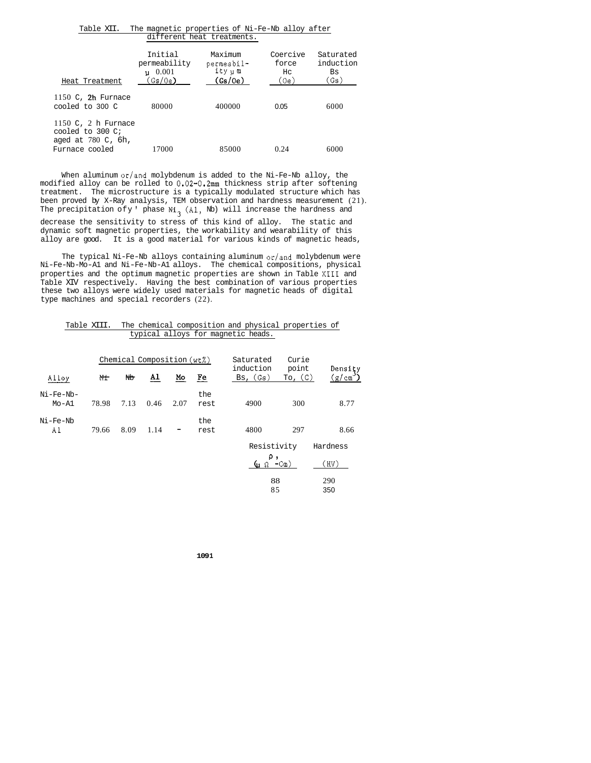|                                                                                        | different heat treatments.                                |                                            |                                 |                                      |  |  |  |  |
|----------------------------------------------------------------------------------------|-----------------------------------------------------------|--------------------------------------------|---------------------------------|--------------------------------------|--|--|--|--|
| Heat Treatment                                                                         | Initial<br>permeability<br>$\mu$ 0.001<br>(Gs/0e <b>)</b> | Maximum<br>permeabil-<br>ίty μα<br>(Gs/Oe) | Coercive<br>force<br>Hc<br>(0e) | Saturated<br>induction<br>Bs<br>(Gs) |  |  |  |  |
| 1150 C, $2h$ Furnace<br>cooled to 300 C                                                | 80000                                                     | 400000                                     | 0.05                            | 6000                                 |  |  |  |  |
| 1150 C, 2 h Furnace<br>cooled to 300 C;<br>aged at $780\,$ C, $6h$ ,<br>Furnace cooled | 17000                                                     | 85000                                      | 0.24                            | 6000                                 |  |  |  |  |

Table XII. The magnetic properties of Ni-Fe-Nb alloy after

When aluminum  $\sigma r /$  and molybdenum is added to the Ni-Fe-Nb alloy, the modified alloy can be rolled to  $0.02-0.2$ mm thickness strip after softening treatment. The microstructure is a typically modulated structure which has been proved by X-Ray analysis, TEM observation and hardness measurement (21). The precipitation ofy ' phase  $\texttt{Ni}_3$  (Al, Nb) will increase the hardness and decrease the sensitivity to stress of this kind of alloy. The static and dynamic soft magnetic properties, the workability and wearability of this alloy are good. It is a good material for various kinds of magnetic heads,

The typical Ni-Fe-Nb alloys containing aluminum  $or/and$  molybdenum were Ni-Fe-Nb-Mo-A1 and Ni-Fe-Nb-A1 alloys. The chemical compositions, physical properties and the optimum magnetic properties are shown in Table **XI11** and Table XIV respectively. Having the best combination of various properties these two alloys were widely used materials for magnetic heads of digital type machines and special recorders (22).

| Table XIII. The chemical composition and physical properties of |  |
|-----------------------------------------------------------------|--|
| typical alloys for magnetic heads.                              |  |

|                        | Chemical Composition (wt%) |      |      |      |             | Saturated                     |                        |                   |
|------------------------|----------------------------|------|------|------|-------------|-------------------------------|------------------------|-------------------|
| Alloy                  | Nt                         | Nb   | A1   | Mo   | Fe          | induction<br>$_{\rm BS}$ (Gs) | point<br>$T_0$ , $(C)$ | Density<br>(g/cm) |
| Ni-Fe-Nb-<br>$Mo - A1$ | 78.98                      | 7.13 | 0.46 | 2.07 | the<br>rest | 4900                          | 300                    | 8.77              |
| Ni-Fe-Nb<br>Αl         | 79.66                      | 8.09 | 1.14 |      | the<br>rest | 4800                          | 297                    | 8.66              |
|                        |                            |      |      |      |             | Resistivity                   |                        | Hardness          |
|                        |                            |      |      |      |             | ρ,<br>նս Ω                    | $-CII$ )               | (HV)              |
|                        |                            |      |      |      |             | 88<br>85                      |                        | 290<br>350        |
|                        |                            |      |      |      |             |                               |                        |                   |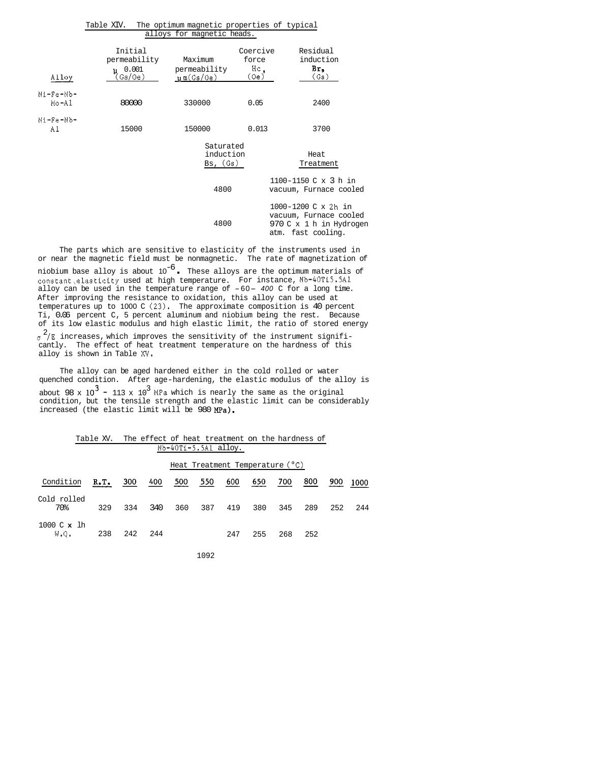| Alloy              | Initial<br>permeability<br>$\mu$ 0.001<br>(Gs/Oe) | Maximum<br>permeability<br>$\mu$ m $(Gs/Oe)$ | Coercive<br>force<br>Hс<br>(Oe) | Residual<br>induction<br>Br,<br>(Gs)                                                               |
|--------------------|---------------------------------------------------|----------------------------------------------|---------------------------------|----------------------------------------------------------------------------------------------------|
| Ni-Fe-Nb-<br>Mo-Al | 80000                                             | 330000                                       | 0.05                            | 2400                                                                                               |
| Ni-Fe-Nb-<br>Al    | 15000                                             | 150000                                       | 0.013                           | 3700                                                                                               |
|                    |                                                   | Saturated<br>induction<br>Bs, (Gs)           |                                 | Heat<br>Treatment                                                                                  |
|                    |                                                   | 4800                                         |                                 | 1100-1150 C x 3 h in<br>vacuum, Furnace cooled                                                     |
|                    |                                                   | 4800                                         |                                 | $1000 - 1200$ C x 2h in<br>vacuum, Furnace cooled<br>970 C x 1 h in Hydrogen<br>atm. fast cooling. |

| Table XIV. The optimum magnetic properties of typical |  |
|-------------------------------------------------------|--|
| alloys for magnetic heads.                            |  |

The parts which are sensitive to elasticity of the instruments used in or near the magnetic field must be nonmagnetic. The rate of magnetization of or near the magnetic field must be nonmagnetic. The rate of magnetization of<br>niobium base alloy is about  $10^{-6}$ . These alloys are the optimum materials of constant,elasticity used at high temperature. For instance, Nb-40Ti5.5Al alloy can be used in the temperature range of -60- *400* C for a long time. After improving the resistance to oxidation, this alloy can be used at temperatures up to 1000 C  $(23)$ . The approximate composition is 40 percent Ti, 0.06 percent C, 5 percent aluminum and niobium being the rest. Because of its low elastic modulus and high elastic limit, the ratio of stored energy  $\sigma$   $^2$ /E increases, which improves the sensitivity of the instrument significantly. The effect of heat treatment temperature on the hardness of this alloy is shown in Table *XV.* 

The alloy can be aged hardened either in the cold rolled or water quenched condition. After age-hardening, the elastic modulus of the alloy is about 98 x  $10^3$  – 113 x  $10^3$  MPa which is nearly the same as the original condition, but the tensile strength and the elastic limit can be considerably increased (the elastic limit will be 980 MPa).

|                         | Table XV. The effect of heat treatment on the hardness of |      |     |                      |     |                                   |     |     |     |     |      |
|-------------------------|-----------------------------------------------------------|------|-----|----------------------|-----|-----------------------------------|-----|-----|-----|-----|------|
|                         |                                                           |      |     | Nb-40Ti-5,5Al alloy. |     |                                   |     |     |     |     |      |
|                         |                                                           |      |     |                      |     | Heat Treatment Temperature $(°0)$ |     |     |     |     |      |
| Condition               | R.I.                                                      | 300  | 400 | 500                  | 550 | 600                               | 650 | 700 | 800 | 900 | 1000 |
| Cold rolled<br>70%      | 329                                                       | 334  | 340 | 360                  | 387 | 419                               | 380 | 345 | 289 | 252 | 244  |
| 1000 C x lh<br>$W, Q$ . | 238                                                       | -242 | 244 |                      |     | 247                               | 255 | 268 | 252 |     |      |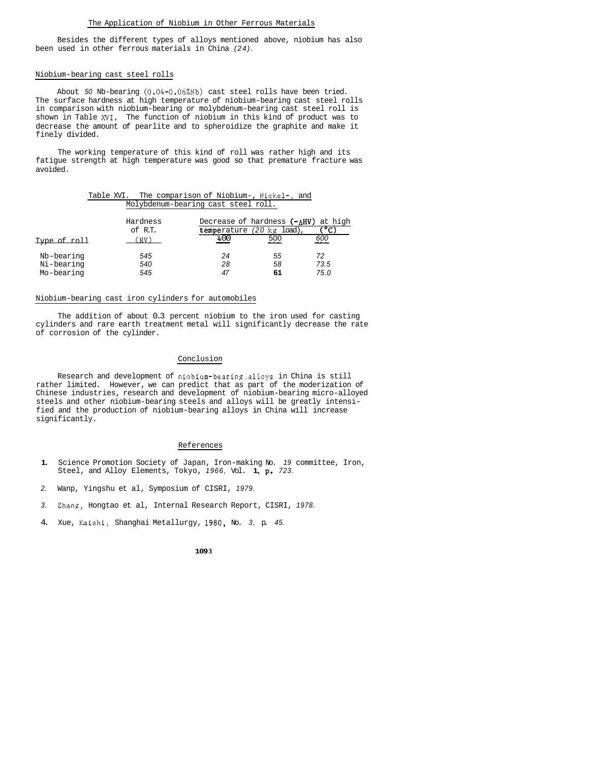Besides the different types of alloys mentioned above, niobium has also been used in other ferrous materials in China *(24).* 

#### Niobium-bearing cast steel rolls

About *50* Nb-bearing (0.04-0.06%Nb) cast steel rolls have been tried. The surface hardness at high temperature of niobium-bearing cast steel rolls in comparison with niobium-bearing or molybdenum-bearing cast steel roll is shown in Table XVI. The function of niobium in this kind of product was to decrease the amount of pearlite and to spheroidize the graphite and make it finely divided.

The working temperature of this kind of roll was rather high and its fatigue strength at high temperature was good so that premature fracture was avoided.

| Table XVI. The comparison of Niobium-, Nickel-, and |                                     |  |  |
|-----------------------------------------------------|-------------------------------------|--|--|
|                                                     | Molybdenum-bearing cast steel roll. |  |  |

|                                        | Molybdenum-bearing cast steel roll. |                |                                                                                |                    |  |  |  |
|----------------------------------------|-------------------------------------|----------------|--------------------------------------------------------------------------------|--------------------|--|--|--|
| Type of roll                           | Hardness<br>of R.T.<br>(HV)         | 400            | Decrease of hardness $(-\Delta HV)$ at high<br>temperature (20 kg load)<br>500 | ొ⊂<br><u>600</u>   |  |  |  |
| Nb-bearing<br>Ni-bearing<br>Mo-bearing | 545<br>540<br>545                   | 24<br>28<br>47 | 55<br>58<br>61                                                                 | 72<br>73.5<br>75.0 |  |  |  |

#### Niobium-bearing cast iron cylinders for automobiles

The addition of about 0.3 percent niobium to the iron used for casting cylinders and rare earth treatment metal will significantly decrease the rate of corrosion of the cylinder.

### Conclusion

Research and development of niobium-bearing.alloys in China is still rather limited. However, we can predict that as part of the moderization of Chinese industries, research and development of niobium-bearing micro-alloyed steels and other niobium-bearing steels and alloys will be greatly intensified and the production of niobium-bearing alloys in China will increase significantly.

#### References

- **1.** Science Promotion Society of Japan, Iron-making No. *19* committee, Iron, Steel, and Alloy Elements, Tokyo, *1966,* Vol. **1, p.** *723.*
- *2.* Wanp, Yingshu et al, Symposium of CISRI, *1979.*
- *3.* Zhang, Hongtao et al, Internal Research Report, CISRI, *1978.*
- 4. Xue, Kaishi, Shanghai Metallurgy, *1980,* No. *3,* p. *45.*